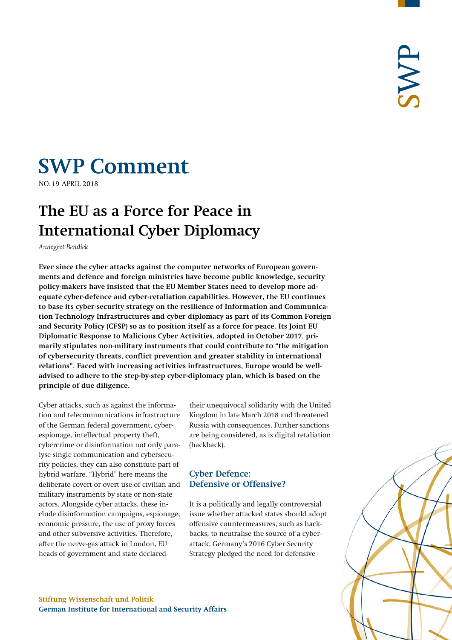# **SWP Comment**

**NO.19 APRIL 2018** 

## **The EU as a Force for Peace in International Cyber Diplomacy**

*Annegret Bendiek*

**Ever since the cyber attacks against the computer networks of European governments and defence and foreign ministries have become public knowledge, security policy-makers have insisted that the EU Member States need to develop more adequate cyber-defence and cyber-retaliation capabilities. However, the EU continues to base its cyber-security strategy on the resilience of Information and Communication Technology Infrastructures and cyber diplomacy as part of its Common Foreign and Security Policy (CFSP) so as to position itself as a force for peace. Its Joint EU Diplomatic Response to Malicious Cyber Activities, adopted in October 2017, primarily stipulates non-military instruments that could contribute to "the mitigation of cybersecurity threats, conflict prevention and greater stability in international relations". Faced with increasing activities infrastructures, Europe would be welladvised to adhere to the step-by-step cyber-diplomacy plan, which is based on the principle of due diligence.**

Cyber attacks, such as against the information and telecommunications infrastructure of the German federal government, cyberespionage, intellectual property theft, cybercrime or disinformation not only paralyse single communication and cybersecurity policies, they can also constitute part of hybrid warfare. "Hybrid" here means the deliberate covert or overt use of civilian and military instruments by state or non-state actors. Alongside cyber attacks, these include disinformation campaigns, espionage, economic pressure, the use of proxy forces and other subversive activities. Therefore, after the nerve-gas attack in London, EU heads of government and state declared

their unequivocal solidarity with the United Kingdom in late March 2018 and threatened Russia with consequences. Further sanctions are being considered, as is digital retaliation (hackback).

### **Cyber Defence: Defensive or Offensive?**

It is a politically and legally controversial issue whether attacked states should adopt offensive countermeasures, such as hackbacks, to neutralise the source of a cyberattack. Germany's 2016 Cyber Security Strategy pledged the need for defensive

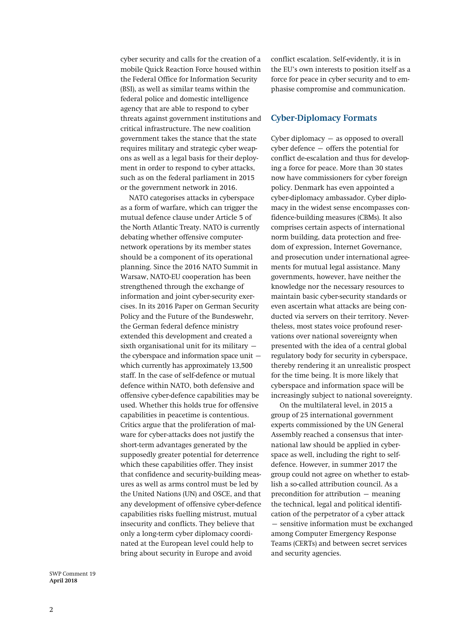cyber security and calls for the creation of a mobile Quick Reaction Force housed within the Federal Office for Information Security (BSI), as well as similar teams within the federal police and domestic intelligence agency that are able to respond to cyber threats against government institutions and critical infrastructure. The new coalition government takes the stance that the state requires military and strategic cyber weapons as well as a legal basis for their deployment in order to respond to cyber attacks, such as on the federal parliament in 2015 or the government network in 2016.

NATO categorises attacks in cyberspace as a form of warfare, which can trigger the mutual defence clause under Article 5 of the North Atlantic Treaty. NATO is currently debating whether offensive computernetwork operations by its member states should be a component of its operational planning. Since the 2016 NATO Summit in Warsaw, NATO-EU cooperation has been strengthened through the exchange of information and joint cyber-security exercises. In its 2016 Paper on German Security Policy and the Future of the Bundeswehr, the German federal defence ministry extended this development and created a sixth organisational unit for its military – the cyberspace and information space unit  $$ which currently has approximately 13,500 staff. In the case of self-defence or mutual defence within NATO, both defensive and offensive cyber-defence capabilities may be used. Whether this holds true for offensive capabilities in peacetime is contentious. Critics argue that the proliferation of malware for cyber-attacks does not justify the short-term advantages generated by the supposedly greater potential for deterrence which these capabilities offer. They insist that confidence and security-building measures as well as arms control must be led by the United Nations (UN) and OSCE, and that any development of offensive cyber-defence capabilities risks fuelling mistrust, mutual insecurity and conflicts. They believe that only a long-term cyber diplomacy coordinated at the European level could help to bring about security in Europe and avoid

conflict escalation. Self-evidently, it is in the EU's own interests to position itself as a force for peace in cyber security and to emphasise compromise and communication.

#### **Cyber-Diplomacy Formats**

Cyber diplomacy – as opposed to overall cyber defence – offers the potential for conflict de-escalation and thus for developing a force for peace. More than 30 states now have commissioners for cyber foreign policy. Denmark has even appointed a cyber-diplomacy ambassador. Cyber diplomacy in the widest sense encompasses confidence-building measures (CBMs). It also comprises certain aspects of international norm building, data protection and freedom of expression, Internet Governance, and prosecution under international agreements for mutual legal assistance. Many governments, however, have neither the knowledge nor the necessary resources to maintain basic cyber-security standards or even ascertain what attacks are being conducted via servers on their territory. Nevertheless, most states voice profound reservations over national sovereignty when presented with the idea of a central global regulatory body for security in cyberspace, thereby rendering it an unrealistic prospect for the time being. It is more likely that cyberspace and information space will be increasingly subject to national sovereignty.

On the multilateral level, in 2015 a group of 25 international government experts commissioned by the UN General Assembly reached a consensus that international law should be applied in cyberspace as well, including the right to selfdefence. However, in summer 2017 the group could not agree on whether to establish a so-called attribution council. As a precondition for attribution – meaning the technical, legal and political identification of the perpetrator of a cyber attack – sensitive information must be exchanged among Computer Emergency Response Teams (CERTs) and between secret services and security agencies.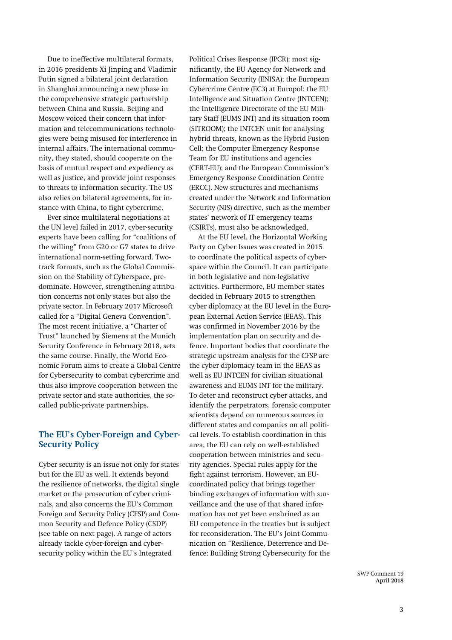Due to ineffective multilateral formats, in 2016 presidents Xi Jinping and Vladimir Putin signed a bilateral joint declaration in Shanghai announcing a new phase in the comprehensive strategic partnership between China and Russia. Beijing and Moscow voiced their concern that information and telecommunications technologies were being misused for interference in internal affairs. The international community, they stated, should cooperate on the basis of mutual respect and expediency as well as justice, and provide joint responses to threats to information security. The US also relies on bilateral agreements, for instance with China, to fight cybercrime.

Ever since multilateral negotiations at the UN level failed in 2017, cyber-security experts have been calling for "coalitions of the willing" from G20 or G7 states to drive international norm-setting forward. Twotrack formats, such as the Global Commission on the Stability of Cyberspace, predominate. However, strengthening attribution concerns not only states but also the private sector. In February 2017 Microsoft called for a "Digital Geneva Convention". The most recent initiative, a "Charter of Trust" launched by Siemens at the Munich Security Conference in February 2018, sets the same course. Finally, the World Economic Forum aims to create a Global Centre for Cybersecurity to combat cybercrime and thus also improve cooperation between the private sector and state authorities, the socalled public-private partnerships.

#### **The EU's Cyber-Foreign and Cyber-Security Policy**

Cyber security is an issue not only for states but for the EU as well. It extends beyond the resilience of networks, the digital single market or the prosecution of cyber criminals, and also concerns the EU's Common Foreign and Security Policy (CFSP) and Common Security and Defence Policy (CSDP) (see table on next page). A range of actors already tackle cyber-foreign and cybersecurity policy within the EU's Integrated

Political Crises Response (IPCR): most significantly, the EU Agency for Network and Information Security (ENISA); the European Cybercrime Centre (EC3) at Europol; the EU Intelligence and Situation Centre (INTCEN); the Intelligence Directorate of the EU Military Staff (EUMS INT) and its situation room (SITROOM); the INTCEN unit for analysing hybrid threats, known as the Hybrid Fusion Cell; the Computer Emergency Response Team for EU institutions and agencies (CERT-EU); and the European Commission's Emergency Response Coordination Centre (ERCC). New structures and mechanisms created under the Network and Information Security (NIS) directive, such as the member states' network of IT emergency teams (CSIRTs), must also be acknowledged.

At the EU level, the Horizontal Working Party on Cyber Issues was created in 2015 to coordinate the political aspects of cyberspace within the Council. It can participate in both legislative and non-legislative activities. Furthermore, EU member states decided in February 2015 to strengthen cyber diplomacy at the EU level in the European External Action Service (EEAS). This was confirmed in November 2016 by the implementation plan on security and defence. Important bodies that coordinate the strategic upstream analysis for the CFSP are the cyber diplomacy team in the EEAS as well as EU INTCEN for civilian situational awareness and EUMS INT for the military. To deter and reconstruct cyber attacks, and identify the perpetrators, forensic computer scientists depend on numerous sources in different states and companies on all political levels. To establish coordination in this area, the EU can rely on well-established cooperation between ministries and security agencies. Special rules apply for the fight against terrorism. However, an EUcoordinated policy that brings together binding exchanges of information with surveillance and the use of that shared information has not yet been enshrined as an EU competence in the treaties but is subject for reconsideration. The EU's Joint Communication on "Resilience, Deterrence and Defence: Building Strong Cybersecurity for the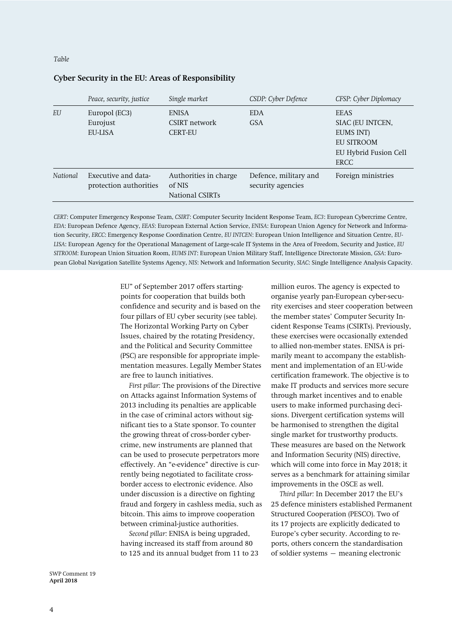#### *Table*

#### *Peace, security, justice Single market CSDP: Cyber Defence CFSP: Cyber Diplomacy EU* Europol (EC3) Eurojust EU-LISA ENISA CSIRT network CERT-EU EDA GSA EEAS SIAC (EU INTCEN, EUMS INT) EU SITROOM EU Hybrid Fusion Cell ERCC *National* Executive and dataprotection authorities Authorities in charge of NIS National CSIRTs Defence, military and security agencies Foreign ministries

#### **Cyber Security in the EU: Areas of Responsibility**

*CERT*: Computer Emergency Response Team, *CSIRT*: Computer Security Incident Response Team, *EC3*: European Cybercrime Centre, *EDA*: European Defence Agency, *EEAS*: European External Action Service, *ENISA*: European Union Agency for Network and Information Security, *ERCC*: Emergency Response Coordination Centre, *EU INTCEN*: European Union Intelligence and Situation Centre, *EU-LISA*: European Agency for the Operational Management of Large-scale IT Systems in the Area of Freedom, Security and Justice, *EU SITROOM*: European Union Situation Room, *EUMS INT*: European Union Military Staff, Intelligence Directorate Mission, *GSA*: European Global Navigation Satellite Systems Agency, *NIS*: Network and Information Security, *SIAC*: Single Intelligence Analysis Capacity.

> EU" of September 2017 offers startingpoints for cooperation that builds both confidence and security and is based on the four pillars of EU cyber security (see table). The Horizontal Working Party on Cyber Issues, chaired by the rotating Presidency, and the Political and Security Committee (PSC) are responsible for appropriate implementation measures. Legally Member States are free to launch initiatives.

> *First pillar:* The provisions of the Directive on Attacks against Information Systems of 2013 including its penalties are applicable in the case of criminal actors without significant ties to a State sponsor. To counter the growing threat of cross-border cybercrime, new instruments are planned that can be used to prosecute perpetrators more effectively. An "e-evidence" directive is currently being negotiated to facilitate crossborder access to electronic evidence. Also under discussion is a directive on fighting fraud and forgery in cashless media, such as bitcoin. This aims to improve cooperation between criminal-justice authorities.

*Second pillar:* ENISA is being upgraded, having increased its staff from around 80 to 125 and its annual budget from 11 to 23 million euros. The agency is expected to organise yearly pan-European cyber-security exercises and steer cooperation between the member states' Computer Security Incident Response Teams (CSIRTs). Previously, these exercises were occasionally extended to allied non-member states. ENISA is primarily meant to accompany the establishment and implementation of an EU-wide certification framework. The objective is to make IT products and services more secure through market incentives and to enable users to make informed purchasing decisions. Divergent certification systems will be harmonised to strengthen the digital single market for trustworthy products. These measures are based on the Network and Information Security (NIS) directive, which will come into force in May 2018; it serves as a benchmark for attaining similar improvements in the OSCE as well.

*Third pillar:* In December 2017 the EU's 25 defence ministers established Permanent Structured Cooperation (PESCO). Two of its 17 projects are explicitly dedicated to Europe's cyber security. According to reports, others concern the standardisation of soldier systems – meaning electronic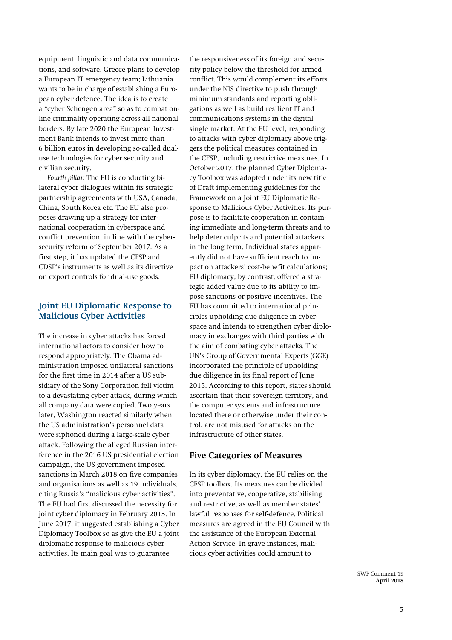equipment, linguistic and data communications, and software. Greece plans to develop a European IT emergency team; Lithuania wants to be in charge of establishing a European cyber defence. The idea is to create a "cyber Schengen area" so as to combat online criminality operating across all national borders. By late 2020 the European Investment Bank intends to invest more than 6 billion euros in developing so-called dualuse technologies for cyber security and civilian security.

*Fourth pillar:* The EU is conducting bilateral cyber dialogues within its strategic partnership agreements with USA, Canada, China, South Korea etc. The EU also proposes drawing up a strategy for international cooperation in cyberspace and conflict prevention, in line with the cybersecurity reform of September 2017. As a first step, it has updated the CFSP and CDSP's instruments as well as its directive on export controls for dual-use goods.

#### **Joint EU Diplomatic Response to Malicious Cyber Activities**

The increase in cyber attacks has forced international actors to consider how to respond appropriately. The Obama administration imposed unilateral sanctions for the first time in 2014 after a US subsidiary of the Sony Corporation fell victim to a devastating cyber attack, during which all company data were copied. Two years later, Washington reacted similarly when the US administration's personnel data were siphoned during a large-scale cyber attack. Following the alleged Russian interference in the 2016 US presidential election campaign, the US government imposed sanctions in March 2018 on five companies and organisations as well as 19 individuals, citing Russia's "malicious cyber activities". The EU had first discussed the necessity for joint cyber diplomacy in February 2015. In June 2017, it suggested establishing a Cyber Diplomacy Toolbox so as give the EU a joint diplomatic response to malicious cyber activities. Its main goal was to guarantee

the responsiveness of its foreign and security policy below the threshold for armed conflict. This would complement its efforts under the NIS directive to push through minimum standards and reporting obligations as well as build resilient IT and communications systems in the digital single market. At the EU level, responding to attacks with cyber diplomacy above triggers the political measures contained in the CFSP, including restrictive measures. In October 2017, the planned Cyber Diplomacy Toolbox was adopted under its new title of Draft implementing guidelines for the Framework on a Joint EU Diplomatic Response to Malicious Cyber Activities. Its purpose is to facilitate cooperation in containing immediate and long-term threats and to help deter culprits and potential attackers in the long term. Individual states apparently did not have sufficient reach to impact on attackers' cost-benefit calculations; EU diplomacy, by contrast, offered a strategic added value due to its ability to impose sanctions or positive incentives. The EU has committed to international principles upholding due diligence in cyberspace and intends to strengthen cyber diplomacy in exchanges with third parties with the aim of combating cyber attacks. The UN's Group of Governmental Experts (GGE) incorporated the principle of upholding due diligence in its final report of June 2015. According to this report, states should ascertain that their sovereign territory, and the computer systems and infrastructure located there or otherwise under their control, are not misused for attacks on the infrastructure of other states.

#### **Five Categories of Measures**

In its cyber diplomacy, the EU relies on the CFSP toolbox. Its measures can be divided into preventative, cooperative, stabilising and restrictive, as well as member states' lawful responses for self-defence. Political measures are agreed in the EU Council with the assistance of the European External Action Service. In grave instances, malicious cyber activities could amount to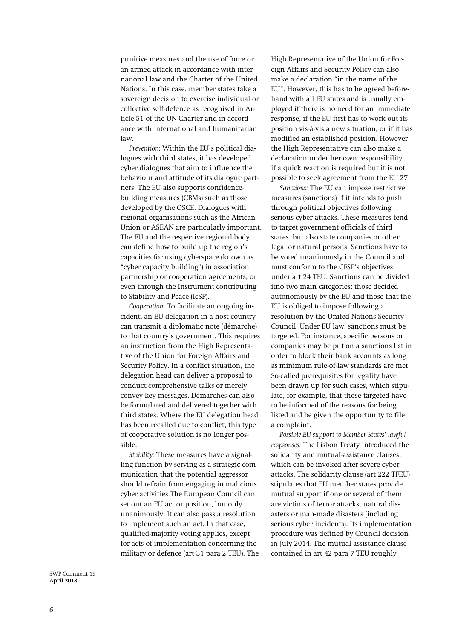punitive measures and the use of force or an armed attack in accordance with international law and the Charter of the United Nations. In this case, member states take a sovereign decision to exercise individual or collective self-defence as recognised in Article 51 of the UN Charter and in accordance with international and humanitarian law.

*Prevention:* Within the EU's political dialogues with third states, it has developed cyber dialogues that aim to influence the behaviour and attitude of its dialogue partners. The EU also supports confidencebuilding measures (CBMs) such as those developed by the OSCE. Dialogues with regional organisations such as the African Union or ASEAN are particularly important. The EU and the respective regional body can define how to build up the region's capacities for using cyberspace (known as "cyber capacity building") in association, partnership or cooperation agreements, or even through the Instrument contributing to Stability and Peace (IcSP).

*Cooperation:* To facilitate an ongoing incident, an EU delegation in a host country can transmit a diplomatic note (démarche) to that country's government. This requires an instruction from the High Representative of the Union for Foreign Affairs and Security Policy. In a conflict situation, the delegation head can deliver a proposal to conduct comprehensive talks or merely convey key messages. Démarches can also be formulated and delivered together with third states. Where the EU delegation head has been recalled due to conflict, this type of cooperative solution is no longer possible.

*Stability:* These measures have a signalling function by serving as a strategic communication that the potential aggressor should refrain from engaging in malicious cyber activities The European Council can set out an EU act or position, but only unanimously. It can also pass a resolution to implement such an act. In that case, qualified-majority voting applies, except for acts of implementation concerning the military or defence (art 31 para 2 TEU). The High Representative of the Union for Foreign Affairs and Security Policy can also make a declaration "in the name of the EU". However, this has to be agreed beforehand with all EU states and is usually employed if there is no need for an immediate response, if the EU first has to work out its position vis-à-vis a new situation, or if it has modified an established position. However, the High Representative can also make a declaration under her own responsibility if a quick reaction is required but it is not possible to seek agreement from the EU 27.

*Sanctions:* The EU can impose restrictive measures (sanctions) if it intends to push through political objectives following serious cyber attacks. These measures tend to target government officials of third states, but also state companies or other legal or natural persons. Sanctions have to be voted unanimously in the Council and must conform to the CFSP's objectives under art 24 TEU. Sanctions can be divided itno two main categories: those decided autonomously by the EU and those that the EU is obliged to impose following a resolution by the United Nations Security Council. Under EU law, sanctions must be targeted. For instance, specific persons or companies may be put on a sanctions list in order to block their bank accounts as long as minimum rule-of-law standards are met. So-called prerequisites for legality have been drawn up for such cases, which stipulate, for example, that those targeted have to be informed of the reasons for being listed and be given the opportunity to file a complaint.

*Possible EU support to Member States' lawful respsonses:* The Lisbon Treaty introduced the solidarity and mutual-assistance clauses, which can be invoked after severe cyber attacks. The solidarity clause (art 222 TFEU) stipulates that EU member states provide mutual support if one or several of them are victims of terror attacks, natural disasters or man-made disasters (including serious cyber incidents). Its implementation procedure was defined by Council decision in July 2014. The mutual-assistance clause contained in art 42 para 7 TEU roughly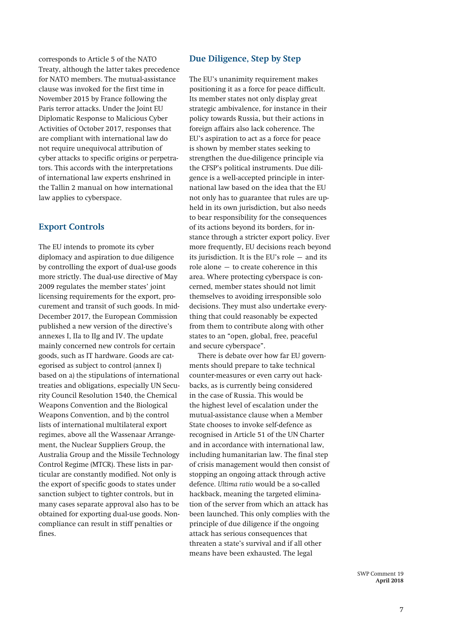corresponds to Article 5 of the NATO Treaty, although the latter takes precedence for NATO members. The mutual-assistance clause was invoked for the first time in November 2015 by France following the Paris terror attacks. Under the Joint EU Diplomatic Response to Malicious Cyber Activities of October 2017, responses that are compliant with international law do not require unequivocal attribution of cyber attacks to specific origins or perpetrators. This accords with the interpretations of international law experts enshrined in the Tallin 2 manual on how international law applies to cyberspace.

#### **Export Controls**

The EU intends to promote its cyber diplomacy and aspiration to due diligence by controlling the export of dual-use goods more strictly. The dual-use directive of May 2009 regulates the member states' joint licensing requirements for the export, procurement and transit of such goods. In mid-December 2017, the European Commission published a new version of the directive's annexes I, IIa to IIg and IV. The update mainly concerned new controls for certain goods, such as IT hardware. Goods are categorised as subject to control (annex I) based on a) the stipulations of international treaties and obligations, especially UN Security Council Resolution 1540, the Chemical Weapons Convention and the Biological Weapons Convention, and b) the control lists of international multilateral export regimes, above all the Wassenaar Arrangement, the Nuclear Suppliers Group, the Australia Group and the Missile Technology Control Regime (MTCR). These lists in particular are constantly modified. Not only is the export of specific goods to states under sanction subject to tighter controls, but in many cases separate approval also has to be obtained for exporting dual-use goods. Noncompliance can result in stiff penalties or fines.

#### **Due Diligence, Step by Step**

The EU's unanimity requirement makes positioning it as a force for peace difficult. Its member states not only display great strategic ambivalence, for instance in their policy towards Russia, but their actions in foreign affairs also lack coherence. The EU's aspiration to act as a force for peace is shown by member states seeking to strengthen the due-diligence principle via the CFSP's political instruments. Due diligence is a well-accepted principle in international law based on the idea that the EU not only has to guarantee that rules are upheld in its own jurisdiction, but also needs to bear responsibility for the consequences of its actions beyond its borders, for instance through a stricter export policy. Ever more frequently, EU decisions reach beyond its jurisdiction. It is the EU's role – and its role alone – to create coherence in this area. Where protecting cyberspace is concerned, member states should not limit themselves to avoiding irresponsible solo decisions. They must also undertake everything that could reasonably be expected from them to contribute along with other states to an "open, global, free, peaceful and secure cyberspace".

There is debate over how far EU governments should prepare to take technical counter-measures or even carry out hackbacks, as is currently being considered in the case of Russia. This would be the highest level of escalation under the mutual-assistance clause when a Member State chooses to invoke self-defence as recognised in Article 51 of the UN Charter and in accordance with international law, including humanitarian law. The final step of crisis management would then consist of stopping an ongoing attack through active defence. *Ultima ratio* would be a so-called hackback, meaning the targeted elimination of the server from which an attack has been launched. This only complies with the principle of due diligence if the ongoing attack has serious consequences that threaten a state's survival and if all other means have been exhausted. The legal